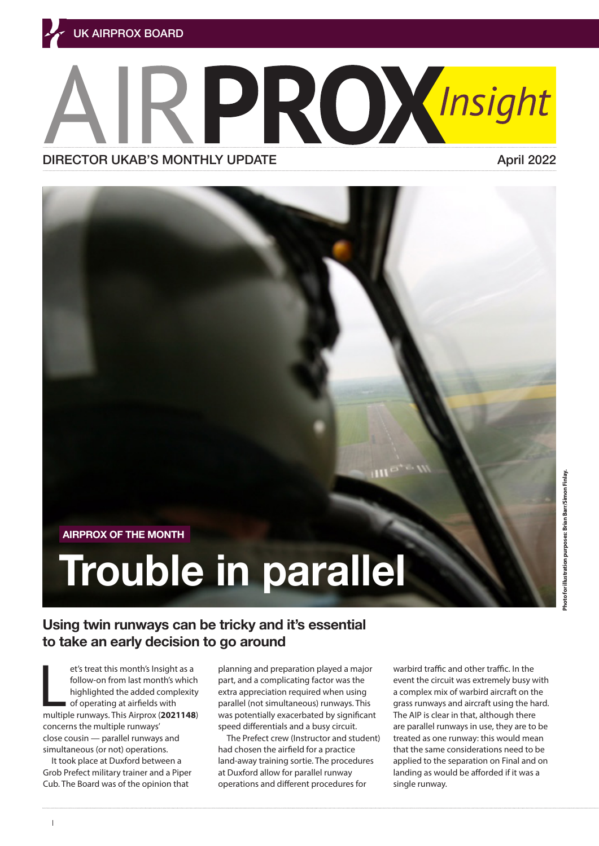# ROXInsight DIRECTOR UKAB'S MONTHLY UPDATE **Apri[l 2022](https://www.airproxboard.org.uk/uploadedFiles/Content/Standard_content/Airprox_report_files/2020/Airprox%20Report%202020090.pdf)**



## **Trouble in parallel**

## **Using twin runways can be tricky and it's essential to take an early decision to go around**

et's treat this month's Insight as a<br>follow-on from last month's which<br>highlighted the added complexity<br>of operating at airfields with<br>multiple runways. This Airprox (**[2021148](https://www.airproxboard.org.uk/Documents/Download/1708/0cb047ad-d908-4aae-92d5-a3dd205ae514/2650)**) et's treat this month's Insight as a follow-on from last month's which highlighted the added complexity of operating at airfields with concerns the multiple runways' close cousin — parallel runways and simultaneous (or not) operations.

It took place at Duxford between a Grob Prefect military trainer and a Piper Cub. The Board was of the opinion that

planning and preparation played a major part, and a complicating factor was the extra appreciation required when using parallel (not simultaneous) runways. This was potentially exacerbated by significant speed differentials and a busy circuit.

The Prefect crew (Instructor and student) had chosen the airfield for a practice land-away training sortie. The procedures at Duxford allow for parallel runway operations and different procedures for

warbird traffic and other traffic. In the event the circuit was extremely busy with a complex mix of warbird aircraft on the grass runways and aircraft using the hard. The AIP is clear in that, although there are parallel runways in use, they are to be treated as one runway: this would mean that the same considerations need to be applied to the separation on Final and on landing as would be afforded if it was a single runway.